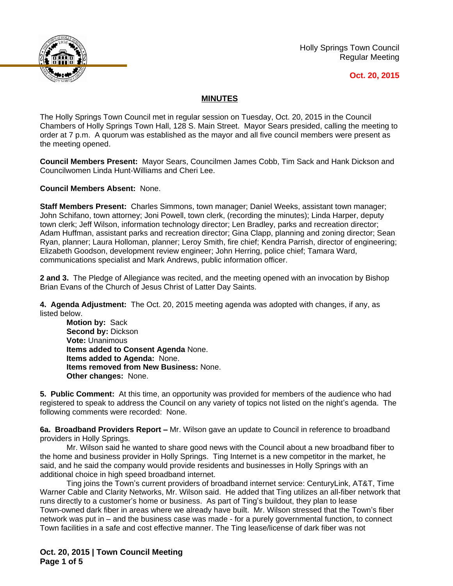

Holly Springs Town Council Regular Meeting

## **Oct. 20, 2015**

## **MINUTES**

The Holly Springs Town Council met in regular session on Tuesday, Oct. 20, 2015 in the Council Chambers of Holly Springs Town Hall, 128 S. Main Street. Mayor Sears presided, calling the meeting to order at 7 p.m. A quorum was established as the mayor and all five council members were present as the meeting opened.

**Council Members Present:** Mayor Sears, Councilmen James Cobb, Tim Sack and Hank Dickson and Councilwomen Linda Hunt-Williams and Cheri Lee.

**Council Members Absent:** None.

**Staff Members Present:** Charles Simmons, town manager; Daniel Weeks, assistant town manager; John Schifano, town attorney; Joni Powell, town clerk, (recording the minutes); Linda Harper, deputy town clerk; Jeff Wilson, information technology director; Len Bradley, parks and recreation director; Adam Huffman, assistant parks and recreation director; Gina Clapp, planning and zoning director; Sean Ryan, planner; Laura Holloman, planner; Leroy Smith, fire chief; Kendra Parrish, director of engineering; Elizabeth Goodson, development review engineer; John Herring, police chief; Tamara Ward, communications specialist and Mark Andrews, public information officer.

**2 and 3.** The Pledge of Allegiance was recited, and the meeting opened with an invocation by Bishop Brian Evans of the Church of Jesus Christ of Latter Day Saints.

**4. Agenda Adjustment:** The Oct. 20, 2015 meeting agenda was adopted with changes, if any, as listed below.

**Motion by:** Sack **Second by:** Dickson **Vote:** Unanimous **Items added to Consent Agenda** None. **Items added to Agenda:** None. **Items removed from New Business:** None. **Other changes:** None.

**5. Public Comment:** At this time, an opportunity was provided for members of the audience who had registered to speak to address the Council on any variety of topics not listed on the night's agenda. The following comments were recorded: None.

**6a. Broadband Providers Report –** Mr. Wilson gave an update to Council in reference to broadband providers in Holly Springs.

Mr. Wilson said he wanted to share good news with the Council about a new broadband fiber to the home and business provider in Holly Springs. Ting Internet is a new competitor in the market, he said, and he said the company would provide residents and businesses in Holly Springs with an additional choice in high speed broadband internet.

Ting joins the Town's current providers of broadband internet service: CenturyLink, AT&T, Time Warner Cable and Clarity Networks, Mr. Wilson said. He added that Ting utilizes an all-fiber network that runs directly to a customer's home or business. As part of Ting's buildout, they plan to lease Town-owned dark fiber in areas where we already have built. Mr. Wilson stressed that the Town's fiber network was put in – and the business case was made - for a purely governmental function, to connect Town facilities in a safe and cost effective manner. The Ting lease/license of dark fiber was not

**Oct. 20, 2015 | Town Council Meeting Page 1 of 5**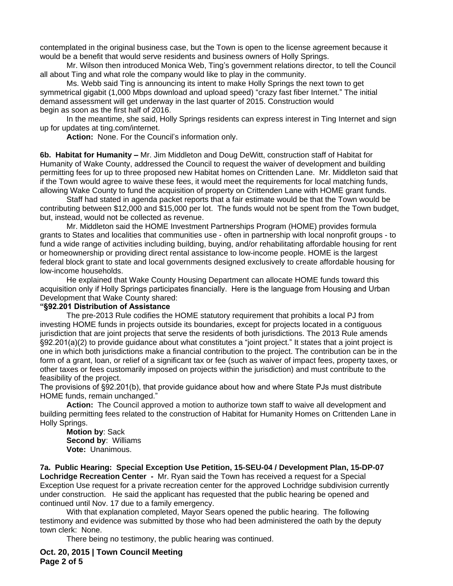contemplated in the original business case, but the Town is open to the license agreement because it would be a benefit that would serve residents and business owners of Holly Springs.

Mr. Wilson then introduced Monica Web, Ting's government relations director, to tell the Council all about Ting and what role the company would like to play in the community.

Ms. Webb said Ting is announcing its intent to make Holly Springs the next town to get symmetrical gigabit (1,000 Mbps download and upload speed) "crazy fast fiber Internet." The initial demand assessment will get underway in the last quarter of 2015. Construction would begin as soon as the first half of 2016.

In the meantime, she said, Holly Springs residents can express interest in Ting Internet and sign up for updates at ting.com/internet.

**Action:** None. For the Council's information only.

**6b. Habitat for Humanity –** Mr. Jim Middleton and Doug DeWitt, construction staff of Habitat for Humanity of Wake County, addressed the Council to request the waiver of development and building permitting fees for up to three proposed new Habitat homes on Crittenden Lane. Mr. Middleton said that if the Town would agree to waive these fees, it would meet the requirements for local matching funds, allowing Wake County to fund the acquisition of property on Crittenden Lane with HOME grant funds.

Staff had stated in agenda packet reports that a fair estimate would be that the Town would be contributing between \$12,000 and \$15,000 per lot. The funds would not be spent from the Town budget, but, instead, would not be collected as revenue.

Mr. Middleton said the HOME Investment Partnerships Program (HOME) provides formula grants to States and localities that communities use - often in partnership with local nonprofit groups - to fund a wide range of activities including building, buying, and/or rehabilitating affordable housing for rent or homeownership or providing direct rental assistance to low-income people. HOME is the largest federal block grant to state and local governments designed exclusively to create affordable housing for low-income households.

He explained that Wake County Housing Department can allocate HOME funds toward this acquisition only if Holly Springs participates financially. Here is the language from Housing and Urban Development that Wake County shared:

## **"§92.201 Distribution of Assistance**

The pre-2013 Rule codifies the HOME statutory requirement that prohibits a local PJ from investing HOME funds in projects outside its boundaries, except for projects located in a contiguous jurisdiction that are joint projects that serve the residents of both jurisdictions. The 2013 Rule amends §92.201(a)(2) to provide guidance about what constitutes a "joint project." It states that a joint project is one in which both jurisdictions make a financial contribution to the project. The contribution can be in the form of a grant, loan, or relief of a significant tax or fee (such as waiver of impact fees, property taxes, or other taxes or fees customarily imposed on projects within the jurisdiction) and must contribute to the feasibility of the project.

The provisions of §92.201(b), that provide guidance about how and where State PJs must distribute HOME funds, remain unchanged."

**Action:** The Council approved a motion to authorize town staff to waive all development and building permitting fees related to the construction of Habitat for Humanity Homes on Crittenden Lane in Holly Springs.

**Motion by**: Sack **Second by**: Williams **Vote:** Unanimous.

**7a. Public Hearing: Special Exception Use Petition, 15-SEU-04 / Development Plan, 15-DP-07 Lochridge Recreation Center -** Mr. Ryan said the Town has received a request for a Special Exception Use request for a private recreation center for the approved Lochridge subdivision currently under construction. He said the applicant has requested that the public hearing be opened and continued until Nov. 17 due to a family emergency.

With that explanation completed, Mayor Sears opened the public hearing. The following testimony and evidence was submitted by those who had been administered the oath by the deputy town clerk: None.

There being no testimony, the public hearing was continued.

**Oct. 20, 2015 | Town Council Meeting Page 2 of 5**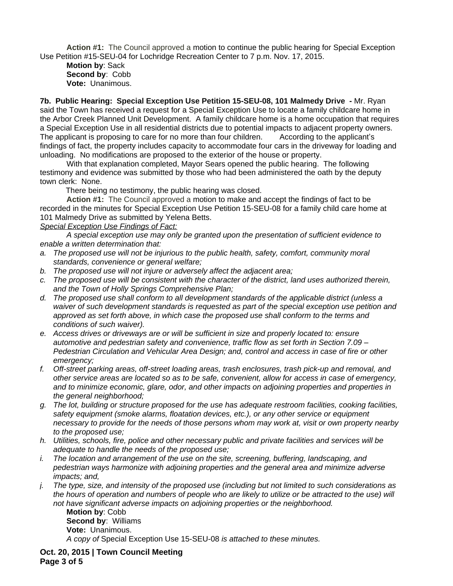**Action #1:** The Council approved a motion to continue the public hearing for Special Exception Use Petition #15-SEU-04 for Lochridge Recreation Center to 7 p.m. Nov. 17, 2015.

**Motion by**: Sack **Second by**: Cobb **Vote:** Unanimous.

**7b. Public Hearing: Special Exception Use Petition 15-SEU-08, 101 Malmedy Drive -** Mr. Ryan said the Town has received a request for a Special Exception Use to locate a family childcare home in the Arbor Creek Planned Unit Development. A family childcare home is a home occupation that requires a Special Exception Use in all residential districts due to potential impacts to adjacent property owners. The applicant is proposing to care for no more than four children. According to the applicant's findings of fact, the property includes capacity to accommodate four cars in the driveway for loading and unloading. No modifications are proposed to the exterior of the house or property.

With that explanation completed, Mayor Sears opened the public hearing. The following testimony and evidence was submitted by those who had been administered the oath by the deputy town clerk: None.

There being no testimony, the public hearing was closed.

**Action #1:** The Council approved a motion to make and accept the findings of fact to be recorded in the minutes for Special Exception Use Petition 15-SEU-08 for a family child care home at 101 Malmedy Drive as submitted by Yelena Betts.

## *Special Exception Use Findings of Fact:*

*A special exception use may only be granted upon the presentation of sufficient evidence to enable a written determination that:*

- *a. The proposed use will not be injurious to the public health, safety, comfort, community moral standards, convenience or general welfare;*
- *b. The proposed use will not injure or adversely affect the adjacent area;*
- *c. The proposed use will be consistent with the character of the district, land uses authorized therein, and the Town of Holly Springs Comprehensive Plan;*
- *d. The proposed use shall conform to all development standards of the applicable district (unless a waiver of such development standards is requested as part of the special exception use petition and approved as set forth above, in which case the proposed use shall conform to the terms and conditions of such waiver).*
- *e. Access drives or driveways are or will be sufficient in size and properly located to: ensure automotive and pedestrian safety and convenience, traffic flow as set forth in Section 7.09 – Pedestrian Circulation and Vehicular Area Design; and, control and access in case of fire or other emergency;*
- *f. Off-street parking areas, off-street loading areas, trash enclosures, trash pick-up and removal, and other service areas are located so as to be safe, convenient, allow for access in case of emergency, and to minimize economic, glare, odor, and other impacts on adjoining properties and properties in the general neighborhood;*
- *g. The lot, building or structure proposed for the use has adequate restroom facilities, cooking facilities, safety equipment (smoke alarms, floatation devices, etc.), or any other service or equipment necessary to provide for the needs of those persons whom may work at, visit or own property nearby to the proposed use;*
- *h. Utilities, schools, fire, police and other necessary public and private facilities and services will be adequate to handle the needs of the proposed use;*
- *i. The location and arrangement of the use on the site, screening, buffering, landscaping, and pedestrian ways harmonize with adjoining properties and the general area and minimize adverse impacts; and,*
- *j. The type, size, and intensity of the proposed use (including but not limited to such considerations as the hours of operation and numbers of people who are likely to utilize or be attracted to the use) will not have significant adverse impacts on adjoining properties or the neighborhood.*

**Motion by**: Cobb **Second by**: Williams **Vote:** Unanimous. *A copy of* Special Exception Use 15-SEU-08 *is attached to these minutes.*

**Oct. 20, 2015 | Town Council Meeting Page 3 of 5**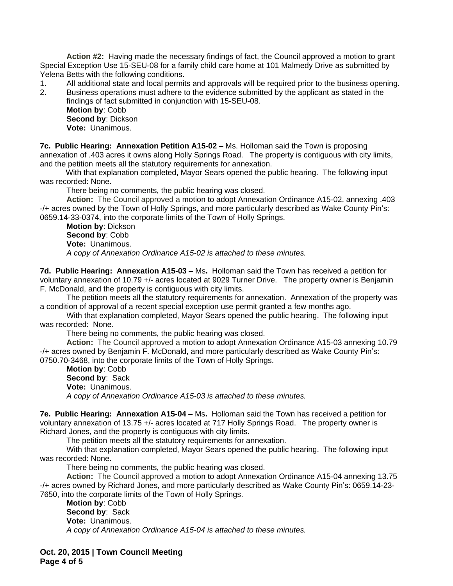**Action #2:** Having made the necessary findings of fact, the Council approved a motion to grant Special Exception Use 15-SEU-08 for a family child care home at 101 Malmedy Drive as submitted by Yelena Betts with the following conditions.

- 1. All additional state and local permits and approvals will be required prior to the business opening.
- 2. Business operations must adhere to the evidence submitted by the applicant as stated in the findings of fact submitted in conjunction with 15-SEU-08.

**Motion by**: Cobb **Second by**: Dickson **Vote:** Unanimous.

**7c. Public Hearing: Annexation Petition A15-02 –** Ms. Holloman said the Town is proposing annexation of .403 acres it owns along Holly Springs Road. The property is contiguous with city limits, and the petition meets all the statutory requirements for annexation.

With that explanation completed, Mayor Sears opened the public hearing. The following input was recorded: None.

There being no comments, the public hearing was closed.

**Action:** The Council approved a motion to adopt Annexation Ordinance A15-02, annexing .403 -/+ acres owned by the Town of Holly Springs, and more particularly described as Wake County Pin's: 0659.14-33-0374, into the corporate limits of the Town of Holly Springs.

**Motion by**: Dickson **Second by**: Cobb **Vote:** Unanimous. *A copy of Annexation Ordinance A15-02 is attached to these minutes.*

**7d. Public Hearing: Annexation A15-03 –** Ms**.** Holloman said the Town has received a petition for voluntary annexation of 10.79 +/- acres located at 9029 Turner Drive. The property owner is Benjamin F. McDonald, and the property is contiguous with city limits.

The petition meets all the statutory requirements for annexation. Annexation of the property was a condition of approval of a recent special exception use permit granted a few months ago.

With that explanation completed, Mayor Sears opened the public hearing. The following input was recorded: None.

There being no comments, the public hearing was closed.

**Action:** The Council approved a motion to adopt Annexation Ordinance A15-03 annexing 10.79 -/+ acres owned by Benjamin F. McDonald, and more particularly described as Wake County Pin's: 0750.70-3468, into the corporate limits of the Town of Holly Springs.

**Motion by**: Cobb **Second by**: Sack **Vote:** Unanimous. *A copy of Annexation Ordinance A15-03 is attached to these minutes.*

**7e. Public Hearing: Annexation A15-04 –** Ms**.** Holloman said the Town has received a petition for voluntary annexation of 13.75 +/- acres located at 717 Holly Springs Road. The property owner is Richard Jones, and the property is contiguous with city limits.

The petition meets all the statutory requirements for annexation.

With that explanation completed, Mayor Sears opened the public hearing. The following input was recorded: None.

There being no comments, the public hearing was closed.

**Action:** The Council approved a motion to adopt Annexation Ordinance A15-04 annexing 13.75 -/+ acres owned by Richard Jones, and more particularly described as Wake County Pin's: 0659.14-23- 7650, into the corporate limits of the Town of Holly Springs.

**Motion by**: Cobb **Second by**: Sack **Vote:** Unanimous. *A copy of Annexation Ordinance A15-04 is attached to these minutes.*

**Oct. 20, 2015 | Town Council Meeting Page 4 of 5**